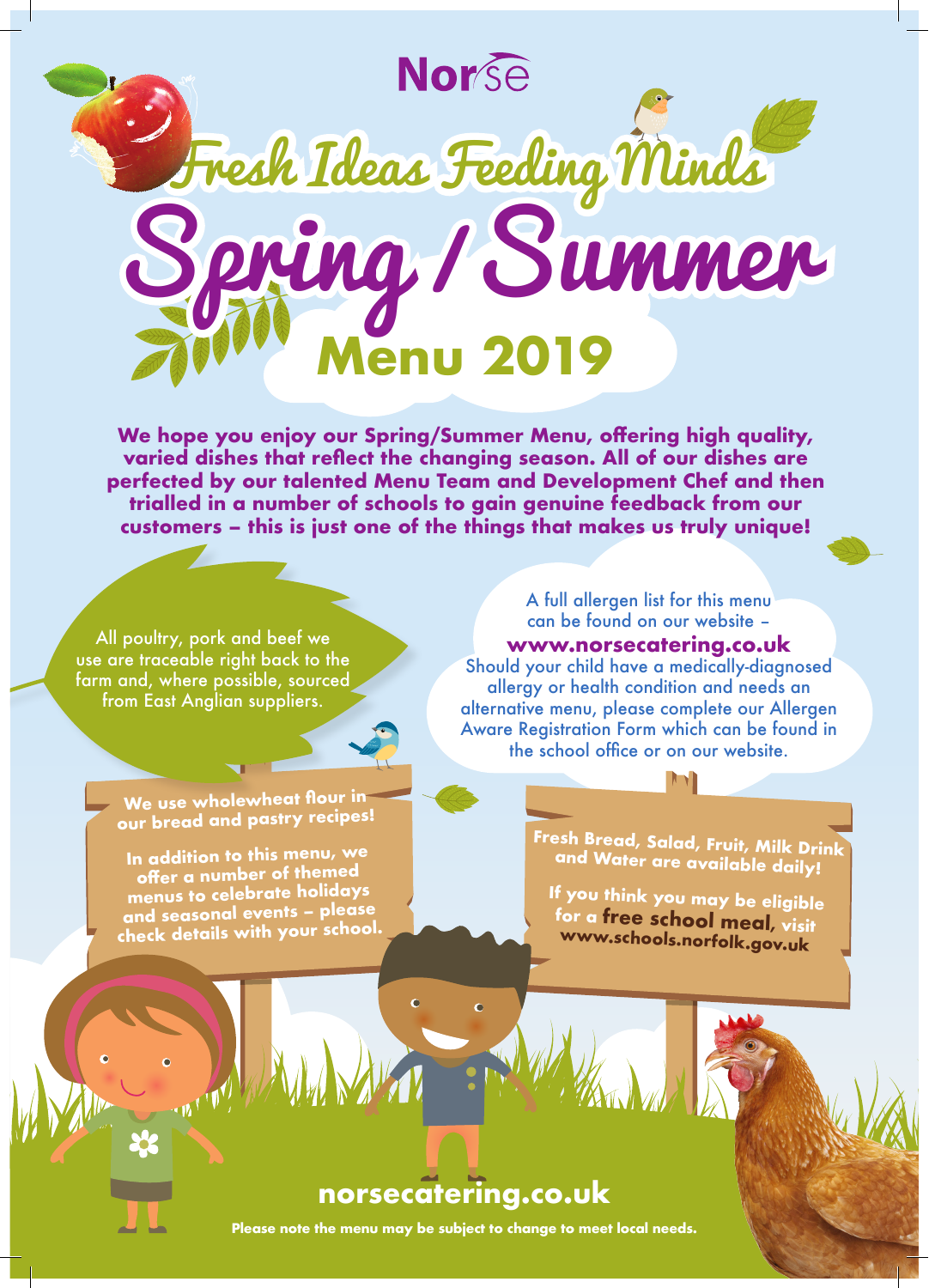

**We hope you enjoy our Spring/Summer Menu, offering high quality, varied dishes that reflect the changing season. All of our dishes are perfected by our talented Menu Team and Development Chef and then trialled in a number of schools to gain genuine feedback from our customers – this is just one of the things that makes us truly unique!**

All poultry, pork and beef we use are traceable right back to the farm and, where possible, sourced from East Anglian suppliers.

> **We use wholewheat flour in our bread and pastry recipes!**

**In addition to this menu, we offer a number of themed menus to celebrate holidays and seasonal events – please check details with your school.**

A full allergen list for this menu can be found on our website – **www.norsecatering.co.uk** Should your child have a medically-diagnosed allergy or health condition and needs an alternative menu, please complete our Allergen Aware Registration Form which can be found in the school office or on our website.

> **Fresh Bread, Salad, Fruit, Milk Drink and Water are available daily!**

**If you think you may be eligible for a free school meal, visit www.schools.norfolk.gov.uk**

## **norsecatering.co.uk**

ċ

 $\ddot{\bullet}$ 

**Please note the menu may be subject to change to meet local needs.**